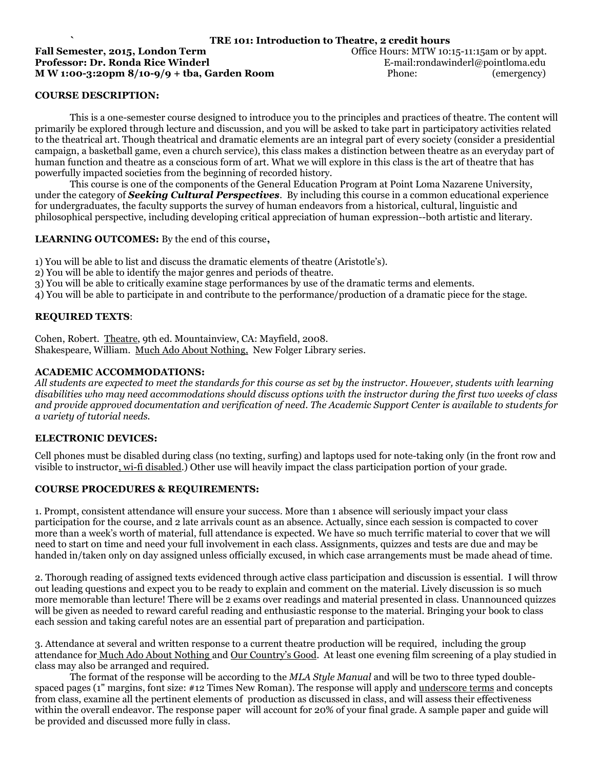### **COURSE DESCRIPTION:**

This is a one-semester course designed to introduce you to the principles and practices of theatre. The content will primarily be explored through lecture and discussion, and you will be asked to take part in participatory activities related to the theatrical art. Though theatrical and dramatic elements are an integral part of every society (consider a presidential campaign, a basketball game, even a church service), this class makes a distinction between theatre as an everyday part of human function and theatre as a conscious form of art. What we will explore in this class is the art of theatre that has powerfully impacted societies from the beginning of recorded history.

This course is one of the components of the General Education Program at Point Loma Nazarene University, under the category of *Seeking Cultural Perspectives*. By including this course in a common educational experience for undergraduates, the faculty supports the survey of human endeavors from a historical, cultural, linguistic and philosophical perspective, including developing critical appreciation of human expression--both artistic and literary.

#### **LEARNING OUTCOMES:** By the end of this course**,**

1) You will be able to list and discuss the dramatic elements of theatre (Aristotle's).

- 2) You will be able to identify the major genres and periods of theatre.
- 3) You will be able to critically examine stage performances by use of the dramatic terms and elements.

4) You will be able to participate in and contribute to the performance/production of a dramatic piece for the stage.

#### **REQUIRED TEXTS**:

Cohen, Robert. Theatre, 9th ed. Mountainview, CA: Mayfield, 2008. Shakespeare, William. Much Ado About Nothing, New Folger Library series.

#### **ACADEMIC ACCOMMODATIONS:**

*All students are expected to meet the standards for this course as set by the instructor. However, students with learning disabilities who may need accommodations should discuss options with the instructor during the first two weeks of class and provide approved documentation and verification of need. The Academic Support Center is available to students for a variety of tutorial needs.*

#### **ELECTRONIC DEVICES:**

Cell phones must be disabled during class (no texting, surfing) and laptops used for note-taking only (in the front row and visible to instructor, wi-fi disabled.) Other use will heavily impact the class participation portion of your grade.

#### **COURSE PROCEDURES & REQUIREMENTS:**

1. Prompt, consistent attendance will ensure your success. More than 1 absence will seriously impact your class participation for the course, and 2 late arrivals count as an absence. Actually, since each session is compacted to cover more than a week's worth of material, full attendance is expected. We have so much terrific material to cover that we will need to start on time and need your full involvement in each class. Assignments, quizzes and tests are due and may be handed in/taken only on day assigned unless officially excused, in which case arrangements must be made ahead of time.

2. Thorough reading of assigned texts evidenced through active class participation and discussion is essential. I will throw out leading questions and expect you to be ready to explain and comment on the material. Lively discussion is so much more memorable than lecture! There will be 2 exams over readings and material presented in class. Unannounced quizzes will be given as needed to reward careful reading and enthusiastic response to the material. Bringing your book to class each session and taking careful notes are an essential part of preparation and participation.

3. Attendance at several and written response to a current theatre production will be required, including the group attendance for Much Ado About Nothing and Our Country's Good. At least one evening film screening of a play studied in class may also be arranged and required.

The format of the response will be according to the *MLA Style Manual* and will be two to three typed doublespaced pages (1" margins, font size: #12 Times New Roman). The response will apply and underscore terms and concepts from class, examine all the pertinent elements of production as discussed in class, and will assess their effectiveness within the overall endeavor. The response paper will account for 20% of your final grade. A sample paper and guide will be provided and discussed more fully in class.